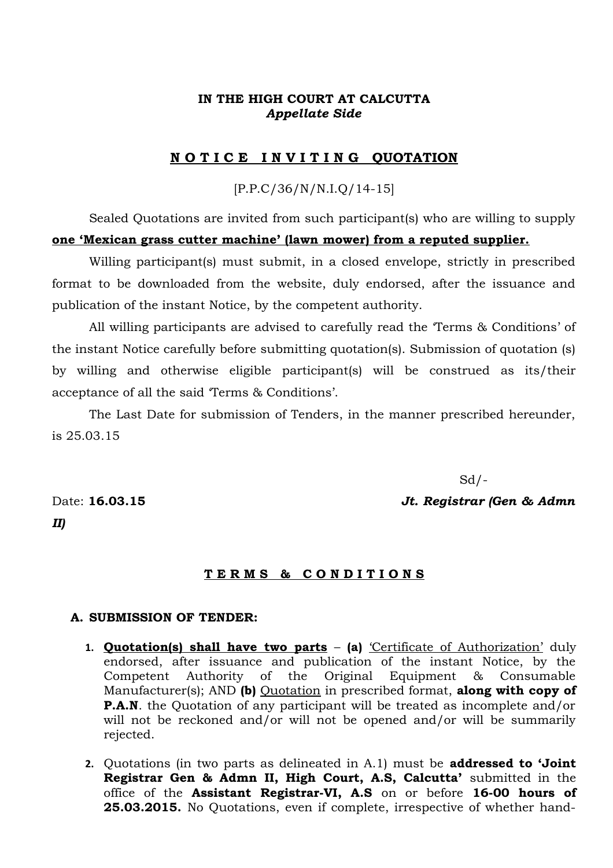# **IN THE HIGH COURT AT CALCUTTA** *Appellate Side*

## **N O T I C E I N V I T I N G QUOTATION**

## [P.P.C/36/N/N.I.Q/14-15]

Sealed Quotations are invited from such participant(s) who are willing to supply **one 'Mexican grass cutter machine' (lawn mower) from a reputed supplier.**

Willing participant(s) must submit, in a closed envelope, strictly in prescribed format to be downloaded from the website, duly endorsed, after the issuance and publication of the instant Notice, by the competent authority.

All willing participants are advised to carefully read the 'Terms & Conditions' of the instant Notice carefully before submitting quotation(s). Submission of quotation (s) by willing and otherwise eligible participant(s) will be construed as its/their acceptance of all the said 'Terms & Conditions'.

The Last Date for submission of Tenders, in the manner prescribed hereunder, is 25.03.15

 $Sd$  /-

Date: **16.03.15** *Jt. Registrar (Gen & Admn*

*II)*

#### **T E R M S & C O N D I T I O N S**

### **A. SUBMISSION OF TENDER:**

- **1. Quotation(s) shall have two parts (a)** 'Certificate of Authorization' duly endorsed, after issuance and publication of the instant Notice, by the Competent Authority of the Original Equipment & Consumable Manufacturer(s); AND **(b)** Quotation in prescribed format, **along with copy of P.A.N**. the Quotation of any participant will be treated as incomplete and/or will not be reckoned and/or will not be opened and/or will be summarily rejected.
- **2.** Quotations (in two parts as delineated in A.1) must be **addressed to 'Joint Registrar Gen & Admn II, High Court, A.S, Calcutta'** submitted in the office of the **Assistant Registrar-VI, A.S** on or before **16-00 hours of 25.03.2015.** No Quotations, even if complete, irrespective of whether hand-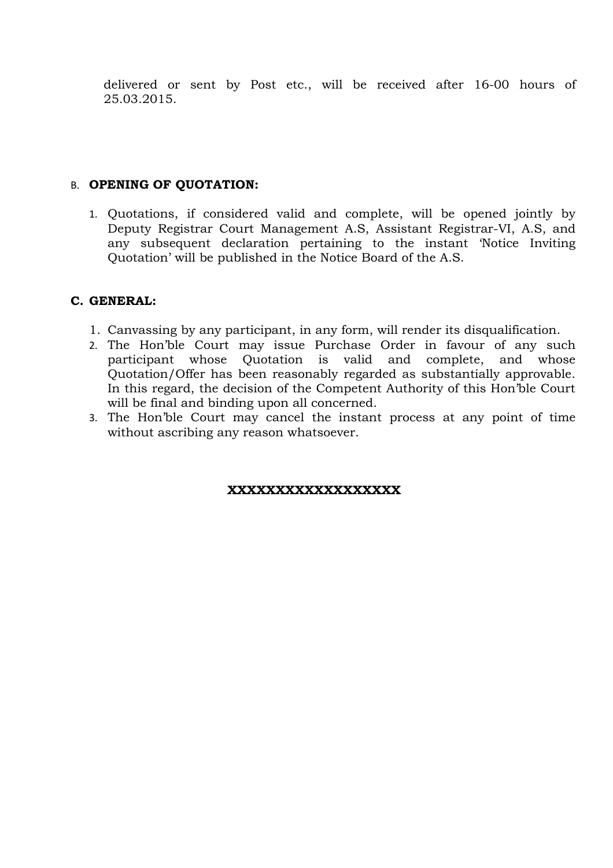delivered or sent by Post etc., will be received after 16-00 hours of 25.03.2015.

# B. **OPENING OF QUOTATION:**

1. Quotations, if considered valid and complete, will be opened jointly by Deputy Registrar Court Management A.S, Assistant Registrar-VI, A.S, and any subsequent declaration pertaining to the instant 'Notice Inviting Quotation' will be published in the Notice Board of the A.S.

# **C. GENERAL:**

- 1. Canvassing by any participant, in any form, will render its disqualification.
- 2. The Hon'ble Court may issue Purchase Order in favour of any such participant whose Quotation is valid and complete, and whose Quotation/Offer has been reasonably regarded as substantially approvable. In this regard, the decision of the Competent Authority of this Hon'ble Court will be final and binding upon all concerned.
- 3. The Hon'ble Court may cancel the instant process at any point of time without ascribing any reason whatsoever.

## **XXXXXXXXXXXXXXXXXX**